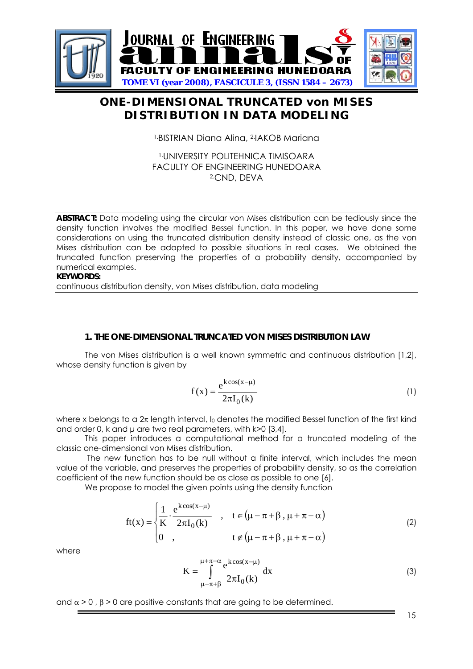

# **ONE-DIMENSIONAL TRUNCATED von MISES DISTRIBUTION IN DATA MODELING**

1.BISTRIAN Diana Alina, 2.IAKOB Mariana

1.UNIVERSITY POLITEHNICA TIMISOARA FACULTY OF ENGINEERING HUNEDOARA 2.CND, DEVA

**ABSTRACT:** Data modeling using the circular von Mises distribution can be tediously since the density function involves the modified Bessel function. In this paper, we have done some considerations on using the truncated distribution density instead of classic one, as the von Mises distribution can be adapted to possible situations in real cases. We obtained the truncated function preserving the properties of a probability density, accompanied by numerical examples.

**KEYWORDS:** 

continuous distribution density, von Mises distribution, data modeling

#### **1. THE ONE-DIMENSIONAL TRUNCATED VON MISES DISTRIBUTION LAW**

The von Mises distribution is a well known symmetric and continuous distribution [1,2], whose density function is given by

$$
f(x) = \frac{e^{k\cos(x-\mu)}}{2\pi I_0(k)}\tag{1}
$$

where x belongs to a  $2\pi$  length interval, I<sub>0</sub> denotes the modified Bessel function of the first kind and order 0, k and  $\mu$  are two real parameters, with k>0 [3,4].

 This paper introduces a computational method for a truncated modeling of the classic one-dimensional von Mises distribution.

 The new function has to be null without a finite interval, which includes the mean value of the variable, and preserves the properties of probability density, so as the correlation coefficient of the new function should be as close as possible to one [6].

We propose to model the given points using the density function

$$
ft(x) = \begin{cases} \frac{1}{K} \cdot \frac{e^{k\cos(x-\mu)}}{2\pi I_0(k)} & , \quad t \in (\mu - \pi + \beta, \mu + \pi - \alpha) \\ 0 & , \quad t \notin (\mu - \pi + \beta, \mu + \pi - \alpha) \end{cases}
$$
(2)

where

$$
K = \int_{\mu-\pi+\beta}^{\mu+\pi-\alpha} \frac{e^{k\cos(x-\mu)}}{2\pi I_0(k)} dx
$$
 (3)

and  $\alpha$  > 0 ,  $\beta$  > 0 are positive constants that are going to be determined.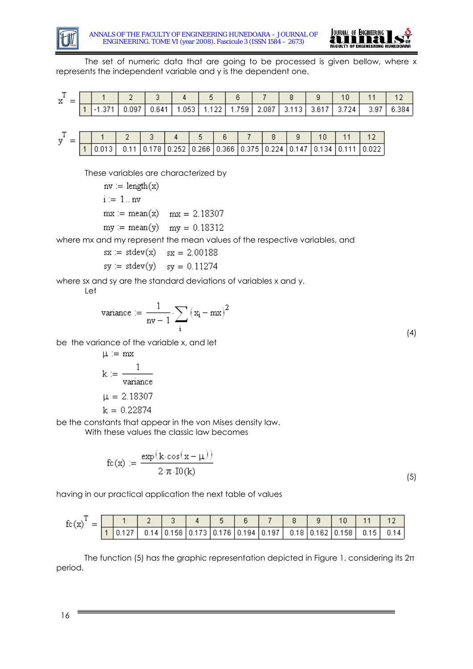



The set of numeric data that are going to be processed is given bellow, where x represents the independent variable and y is the dependent one.

|  |  | 0.11 0.178 0.252 0.266 0.366 0.375 0.224 0.147 0.134 0.1 |  |  |  |  |
|--|--|----------------------------------------------------------|--|--|--|--|

These variables are characterized by

 $nv := length(x)$  $i := 1 \ldots nv$  $mx := mean(x)$   $mx = 2.18307$  $my := mean(y)$   $my = 0.18312$ 

where mx and my represent the mean values of the respective variables, and

 $sx := stdev(x)$   $sx = 2.00188$  $sy := stdev(y)$   $sy = 0.11274$ 

where sx and sy are the standard deviations of variables x and y.

Let

$$
variance := \frac{1}{nv - 1} \sum_{i} (x_i - mx)^2
$$
\n(4)

be the variance of the variable x, and let

$$
\mu := mx
$$
\n
$$
k := \frac{1}{variance}
$$
\n
$$
\mu = 2.18307
$$
\n
$$
k = 0.22874
$$

be the constants that appear in the von Mises density law.

With these values the classic law becomes

$$
fc(x) := \frac{exp(k \cdot cos(x - \mu))}{2 \cdot \pi \cdot Io(k)}
$$

 $(5)$ 

having in our practical application the next table of values

| fc(x) | $=$ |  |  |  |                                                                       |  |  |      |     |
|-------|-----|--|--|--|-----------------------------------------------------------------------|--|--|------|-----|
|       |     |  |  |  | $0.14$   0.158   0.173   0.176   0.194   0.197   0.18   0.162   0.158 |  |  | 0.15 | 014 |

The function (5) has the graphic representation depicted in Figure 1, considering its 2π period.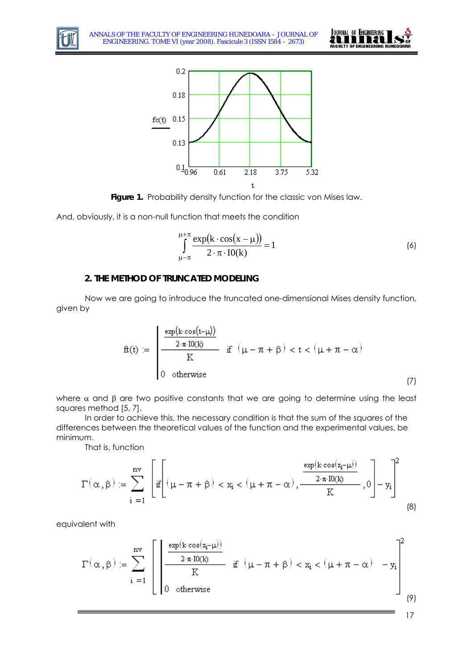



Figure 1. Probability density function for the classic von Mises law.

And, obviously, it is a non-null function that meets the condition

$$
\int_{\mu-\pi}^{\mu+\pi} \frac{\exp(k \cdot \cos(x-\mu))}{2 \cdot \pi \cdot I0(k)} = 1
$$
 (6)

### **2. THE METHOD OF TRUNCATED MODELING**

Now we are going to introduce the truncated one-dimensional Mises density function, given by

$$
f\!t(t) := \begin{cases} \frac{\exp(k \cos(t-\mu))}{2\cdot \pi \cdot I0(k)} & \text{if } \left(\mu-\pi+\beta\right) < t < \left(\mu+\pi-\alpha\right) \\ 0 & \text{otherwise} \end{cases} \tag{7}
$$

where  $\alpha$  and  $\beta$  are two positive constants that we are going to determine using the least squares method [5, 7].

In order to achieve this, the necessary condition is that the sum of the squares of the differences between the theoretical values of the function and the experimental values, be minimum.

That is, function

$$
\Gamma\big(\alpha\,,\beta\big)\coloneqq\sum_{i\; =\; 1}^{nv}\;\left[\underset{i\; =\; 1}{\inf}\Bigg[\big(\mu-\pi+\beta\big)<\mathtt{x}_i<\big(\mu+\pi-\alpha\big)\,,\frac{\frac{\exp\big(k\cdot\cos\big(\mathtt{x}_i-\mu\big)\big)}{2\cdot\pi\cdot\mathrm{IO}(k)}}{K}\,,0\Bigg]-\mathtt{y}_i\right]^2\tag{8}
$$

equivalent with

$$
\Gamma(\alpha,\beta)\coloneqq\sum_{i\; =\; 1}^{nv}\left[\left|\frac{\frac{\exp\left(k\; \cos\left(x_{i}-\mu\right)\right)}{2\cdot\pi\cdot I0(k)}}{K}\right|\;\text{if}\;\left(\mu-\pi+\beta\right)
$$

17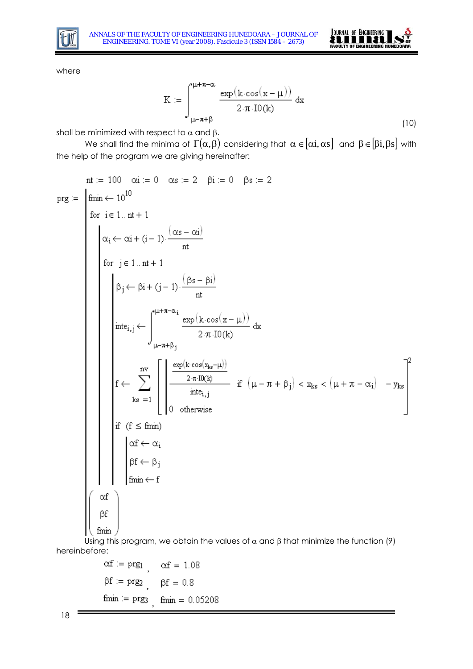



where

$$
K := \int_{\mu - \pi + \beta}^{\mu + \pi - \alpha} \frac{\exp(k \cdot \cos(x - \mu))}{2 \cdot \pi \cdot I0(k)} dx
$$
\n(10)

shall be minimized with respect to  $\alpha$  and  $\beta$ .

We shall find the minima of  $\Gamma(\alpha,\beta)$  considering that  $\alpha\in[\alpha i,\alpha s]$  and  $\beta\in[\beta i,\beta s]$  with the help of the program we are giving hereinafter:

$$
nt := 100 \quad \alpha i = 0 \quad \alpha s := 2 \quad \beta i := 0 \quad \beta s := 2
$$
\n
$$
prg := \n\begin{cases}\n\min \leftarrow 10^{10} \\
\text{for } i \in 1...n+1 \\
\alpha_i \leftarrow \alpha i + (i-1) \cdot \frac{(\alpha s - \alpha i)}{nt} \\
\text{for } j \in 1...n+1 \\
\beta_j \leftarrow \beta i + (j-1) \cdot \frac{(\beta s - \beta i)}{nt} \\
\text{int} \\
\beta_j \leftarrow \beta i + (j-1) \cdot \frac{(\beta s - \beta i)}{nt} \\
\text{int} \\
\beta_j \leftarrow \beta i + (j-1) \cdot \frac{(\beta s - \beta i)}{nt} \\
\text{int} \\
\beta_j \leftarrow \beta i + (j-1) \cdot \frac{(\beta s - \beta i)}{nt} \\
\text{int} \\
\beta_j \leftarrow \beta i + (j-1) \cdot \frac{(\beta s - \beta i)}{nt} \\
\text{int} \\
\beta_j \leftarrow \beta j + \beta j \\
\text{int} \\
\beta_j \leftarrow \beta j + \beta j \\
\text{int} \\
\beta_j \leftarrow \beta j \\
\text{int} \\
\beta_j \leftarrow \beta j \\
\text{int} \\
\beta_j \leftarrow \beta j \\
\text{int} \\
\beta_j \leftarrow \beta j \\
\text{int} \\
\beta_j \leftarrow \beta j\n\end{cases}
$$

Using this program, we obtain the values of  $\alpha$  and  $\beta$  that minimize the function (9) hereinbefore:

$$
\alpha f := \text{prg}_1 \qquad \alpha f = 1.08
$$

$$
\beta f := \text{prg}_2 \qquad \beta f = 0.8
$$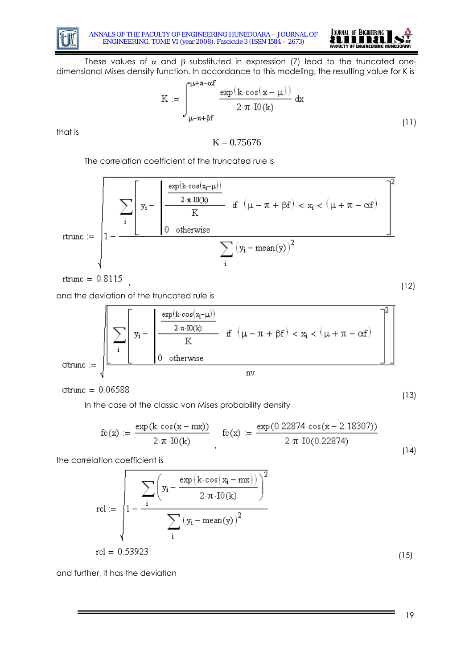



These values of  $\alpha$  and  $\beta$  substituted in expression (7) lead to the truncated onedimensional Mises density function. In accordance to this modeling, the resulting value for K is

$$
K := \int_{\mu-\pi+\beta f}^{\mu+\pi-\alpha f} \frac{\exp(k \cdot \cos(x-\mu))}{2 \cdot \pi \cdot I0(k)} dx
$$
\n(11)

that is

 $K = 0.75676$ 

The correlation coefficient of the truncated rule is

$$
rtrm{rune} := \sqrt{1 - \frac{\displaystyle\sum_{i} \left[ \, y_i - \left( \displaystyle\frac{\displaystyle\frac{\exp(k \cdot cos(x_i - \mu))}{2 \cdot \pi \cdot 10(k)}}{\mathrm{K}} \right. \, \, \text{if} \, \, \left( \mu - \pi + \beta f \right) < x_i < \left( \mu + \pi - \alpha f \right) \right)^2}{\displaystyle\sum_{i} \left( y_i - \mathrm{mean}(y) \right)^2}}
$$

rtrunc =  $0.8115$ 

and the deviation of the truncated rule is

$$
\text{Gtrunc} := \sqrt{\frac{\left[\displaystyle\sum_i \left[y_i - \left(\frac{\exp\left(k \cos\left(x_i - \mu\right)\right)}{2 \cdot \pi \cdot I O(k)}\right) \right] \left[\displaystyle\sum_{i=1}^{2 \cdot \pi \cdot I O(k)}{K} \right] \text{ if } \left(\mu - \pi + \beta f\right) < x_i < \left(\mu + \pi - \alpha f\right) \right]}{\text{nv}}\right]^2}
$$

 $\sigma$ trunc = 0.06588

In the case of the classic von Mises probability density

$$
fc(x) := \frac{exp(k \cdot cos(x - mx))}{2 \cdot \pi \cdot Io(k)} \quad fc(x) := \frac{exp(0.22874 \cdot cos(x - 2.18307))}{2 \cdot \pi \cdot Io(0.22874)}
$$
(14)

the correlation coefficient is

$$
rel := \sqrt{\sum_{i} \left( y_i - \frac{\exp(k \cdot \cos(x_i - mx))}{2 \cdot \pi \cdot Io(k)} \right)^2}
$$
  

$$
rel = 0.53923
$$
 (15)

and further, it has the deviation

(12)

(13)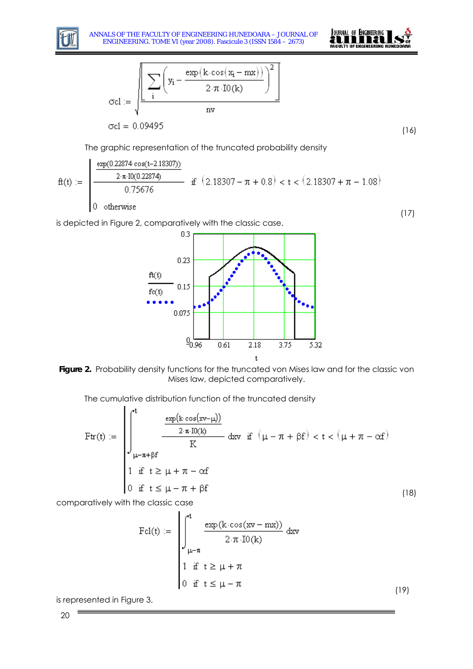



$$
\text{Col} := \sqrt{\frac{\displaystyle\sum_{i} \left(y_i - \frac{\exp\left(k \cdot \cos\left(x_i - mx\right)\right)}{2 \cdot \pi \cdot \text{IO}(k)}\right)^2}{nv}}
$$
\n
$$
\text{Col} = 0.09495
$$

(16)

The graphic representation of the truncated probability density

$$
f{t(t)} := \begin{cases} \frac{\exp(0.22874 \cos(t-2.18307))}{2 \cdot \pi \cdot 10(0.22874)} & \text{if } (2.18307 - \pi + 0.8) < t < (2.18307 + \pi - 1.08) \\ 0 & \text{otherwise} \end{cases} \tag{17}
$$

is depicted in Figure 2, comparatively with the classic case.



**Figure 2.** Probability density functions for the truncated von Mises law and for the classic von Mises law, depicted comparatively.

The cumulative distribution function of the truncated density

$$
\text{Ftr}(t) := \begin{cases} \int_{t-\pi+\beta f}^{t} \frac{\exp(k \cos(xv-\mu))}{2 \cdot \pi \cdot I0(k)} & \text{d}xv \text{ if } (\mu-\pi+\beta f) < t < (\mu+\pi-\alpha f) \\ \int_{\mu-\pi+\beta f}^{t} \text{ if } t \geq \mu+\pi-\alpha f \\ 0 & \text{if } t \leq \mu-\pi+\beta f \end{cases} \tag{18}
$$

comparatively with the classic case

$$
\text{Fcl}(t) := \begin{cases} \int_{-\mu-\pi}^{t} \frac{\exp(k \cdot \cos(xv - mx))}{2 \cdot \pi \cdot I0(k)} dxv \\ \mu-\pi \\ 1 & \text{if } t \ge \mu + \pi \\ 0 & \text{if } t \le \mu - \pi \end{cases}
$$
(19)

is represented in Figure 3.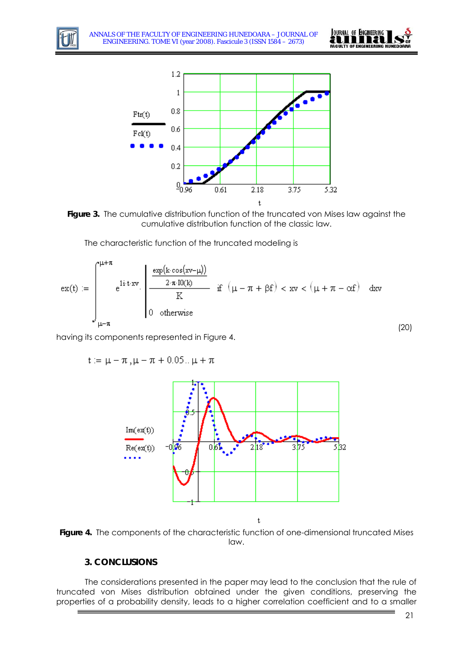





The characteristic function of the truncated modeling is

$$
ex(t) := \int_{\mu-\pi}^{\mu+\pi} e^{i\mathbf{i} \cdot \mathbf{t} \cdot xy} \cdot \begin{bmatrix} \frac{\exp(k \cos(xv-\mu))}{2 \cdot \pi \cdot I0(k)} \\ \frac{2 \cdot \pi \cdot I0(k)}{K} & \text{if } (\mu-\pi+\beta f) < xv < (\mu+\pi-\alpha f) \text{ d}xv \\ 0 & \text{otherwise} \end{bmatrix}
$$
(20)

having its components represented in Figure 4.

$$
t := \mu - \pi, \mu - \pi + 0.05... \mu + \pi
$$





## **3. CONCLUSIONS**

The considerations presented in the paper may lead to the conclusion that the rule of truncated von Mises distribution obtained under the given conditions, preserving the properties of a probability density, leads to a higher correlation coefficient and to a smaller